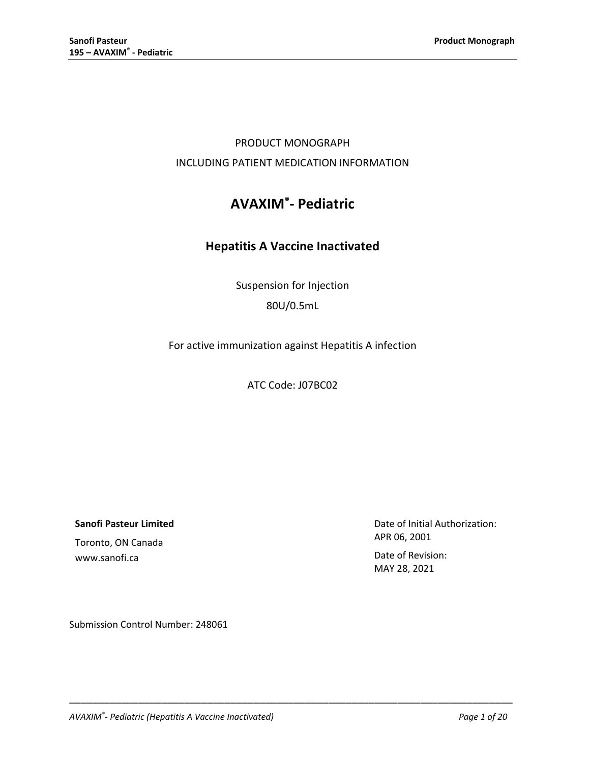## PRODUCT MONOGRAPH INCLUDING PATIENT MEDICATION INFORMATION

# **AVAXIM®- Pediatric**

## **Hepatitis A Vaccine Inactivated**

Suspension for Injection 80U/0.5mL

For active immunization against Hepatitis A infection

ATC Code: J07BC02

\_\_\_\_\_\_\_\_\_\_\_\_\_\_\_\_\_\_\_\_\_\_\_\_\_\_\_\_\_\_\_\_\_\_\_\_\_\_\_\_\_\_\_\_\_\_\_\_\_\_\_\_\_\_\_\_\_\_\_\_\_\_\_\_\_\_\_\_\_\_\_\_\_\_\_\_\_

**Sanofi Pasteur Limited**

Toronto, ON Canada www.sanofi.ca

Date of Initial Authorization: APR 06, 2001

Date of Revision: MAY 28, 2021

Submission Control Number: 248061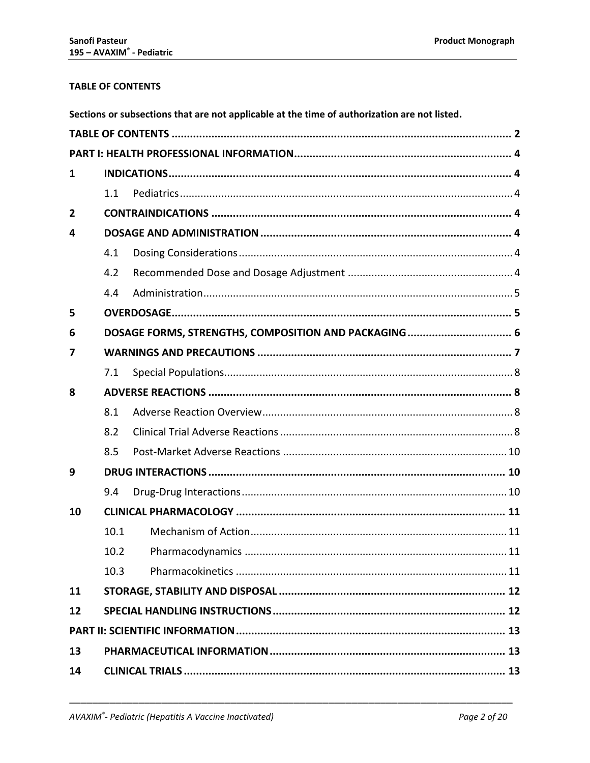## <span id="page-1-0"></span>**TABLE OF CONTENTS**

|                | Sections or subsections that are not applicable at the time of authorization are not listed. |                                                      |  |  |  |
|----------------|----------------------------------------------------------------------------------------------|------------------------------------------------------|--|--|--|
|                |                                                                                              |                                                      |  |  |  |
|                |                                                                                              |                                                      |  |  |  |
| 1              |                                                                                              |                                                      |  |  |  |
|                | 1.1                                                                                          |                                                      |  |  |  |
| $\overline{2}$ |                                                                                              |                                                      |  |  |  |
| 4              |                                                                                              |                                                      |  |  |  |
|                | 4.1                                                                                          |                                                      |  |  |  |
|                | 4.2                                                                                          |                                                      |  |  |  |
|                | 4.4                                                                                          |                                                      |  |  |  |
| 5              |                                                                                              |                                                      |  |  |  |
| 6              |                                                                                              | DOSAGE FORMS, STRENGTHS, COMPOSITION AND PACKAGING 6 |  |  |  |
| 7              |                                                                                              |                                                      |  |  |  |
|                | 7.1                                                                                          |                                                      |  |  |  |
| 8              |                                                                                              |                                                      |  |  |  |
|                | 8.1                                                                                          |                                                      |  |  |  |
|                | 8.2                                                                                          |                                                      |  |  |  |
|                | 8.5                                                                                          |                                                      |  |  |  |
| 9              |                                                                                              |                                                      |  |  |  |
|                | 9.4                                                                                          |                                                      |  |  |  |
| 10             |                                                                                              |                                                      |  |  |  |
|                | 10.1                                                                                         |                                                      |  |  |  |
|                | 10.2                                                                                         |                                                      |  |  |  |
|                | 10.3                                                                                         |                                                      |  |  |  |
| 11             |                                                                                              |                                                      |  |  |  |
| 12             |                                                                                              |                                                      |  |  |  |
|                |                                                                                              |                                                      |  |  |  |
| 13             |                                                                                              |                                                      |  |  |  |
| 14             |                                                                                              |                                                      |  |  |  |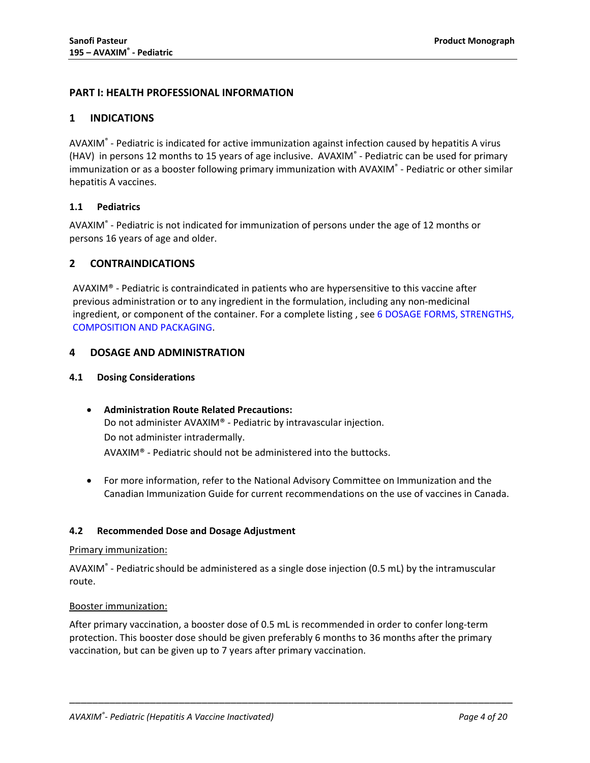## <span id="page-3-0"></span>**PART I: HEALTH PROFESSIONAL INFORMATION**

## <span id="page-3-1"></span>**1 INDICATIONS**

AVAXIM® - Pediatric is indicated for active immunization against infection caused by hepatitis A virus (HAV) in persons 12 months to 15 years of age inclusive. AVAXIM® - Pediatric can be used for primary immunization or as a booster following primary immunization with AVAXIM® - Pediatric or other similar hepatitis A vaccines.

#### <span id="page-3-2"></span>**1.1 Pediatrics**

AVAXIM® - Pediatric is not indicated for immunization of persons under the age of 12 months or persons 16 years of age and older.

#### <span id="page-3-3"></span>**2 CONTRAINDICATIONS**

AVAXIM<sup>®</sup> - Pediatric is contraindicated in patients who are hypersensitive to this vaccine after previous administration or to any ingredient in the formulation, including any non-medicinal ingredient, or component of the container. For a complete listing , see 6 [DOSAGE FORMS, STRENGTHS,](#page-5-0)  [COMPOSITION AND PACKAGING.](#page-5-0)

#### <span id="page-3-4"></span>**4 DOSAGE AND ADMINISTRATION**

#### <span id="page-3-5"></span>**4.1 Dosing Considerations**

- **Administration Route Related Precautions:** Do not administer AVAXIM® - Pediatric by intravascular injection. Do not administer intradermally. AVAXIM® - Pediatric should not be administered into the buttocks.
- For more information, refer to the National Advisory Committee on Immunization and the Canadian Immunization Guide for current recommendations on the use of vaccines in Canada.

#### <span id="page-3-6"></span>**4.2 Recommended Dose and Dosage Adjustment**

#### Primary immunization:

AVAXIM® - Pediatric should be administered as a single dose injection (0.5 mL) by the intramuscular route.

#### Booster immunization:

After primary vaccination, a booster dose of 0.5 mL is recommended in order to confer long-term protection. This booster dose should be given preferably 6 months to 36 months after the primary vaccination, but can be given up to 7 years after primary vaccination.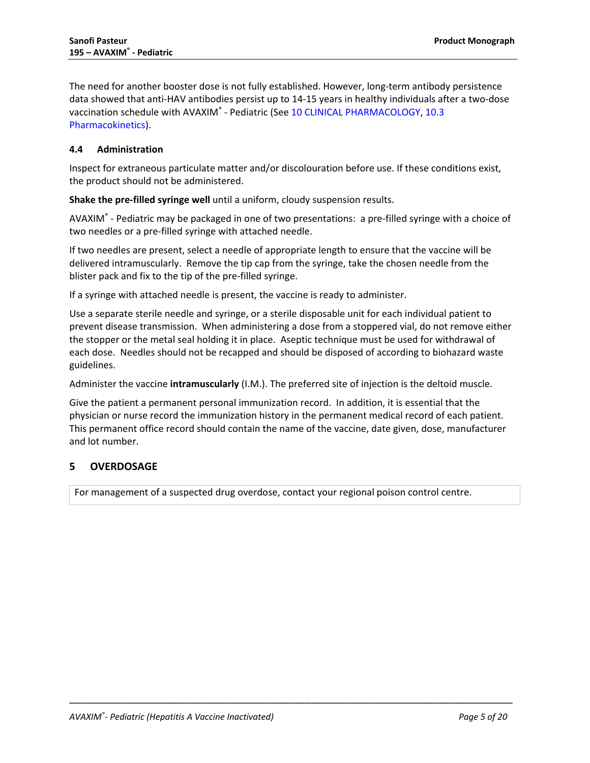The need for another booster dose is not fully established. However, long-term antibody persistence data showed that anti-HAV antibodies persist up to 14-15 years in healthy individuals after a two-dose vaccination schedule with AVAXIM® - Pediatric (See 10 [CLINICAL PHARMACOLOGY,](#page-10-0) 10.3 [Pharmacokinetics\)](#page-10-3).

## <span id="page-4-0"></span>**4.4 Administration**

Inspect for extraneous particulate matter and/or discolouration before use. If these conditions exist, the product should not be administered.

**Shake the pre-filled syringe well** until a uniform, cloudy suspension results.

AVAXIM® - Pediatric may be packaged in one of two presentations: a pre-filled syringe with a choice of two needles or a pre-filled syringe with attached needle.

If two needles are present, select a needle of appropriate length to ensure that the vaccine will be delivered intramuscularly. Remove the tip cap from the syringe, take the chosen needle from the blister pack and fix to the tip of the pre-filled syringe.

If a syringe with attached needle is present, the vaccine is ready to administer.

Use a separate sterile needle and syringe, or a sterile disposable unit for each individual patient to prevent disease transmission. When administering a dose from a stoppered vial, do not remove either the stopper or the metal seal holding it in place. Aseptic technique must be used for withdrawal of each dose. Needles should not be recapped and should be disposed of according to biohazard waste guidelines.

Administer the vaccine **intramuscularly** (I.M.). The preferred site of injection is the deltoid muscle.

Give the patient a permanent personal immunization record. In addition, it is essential that the physician or nurse record the immunization history in the permanent medical record of each patient. This permanent office record should contain the name of the vaccine, date given, dose, manufacturer and lot number.

\_\_\_\_\_\_\_\_\_\_\_\_\_\_\_\_\_\_\_\_\_\_\_\_\_\_\_\_\_\_\_\_\_\_\_\_\_\_\_\_\_\_\_\_\_\_\_\_\_\_\_\_\_\_\_\_\_\_\_\_\_\_\_\_\_\_\_\_\_\_\_\_\_\_\_\_\_

## <span id="page-4-1"></span>**5 OVERDOSAGE**

For management of a suspected drug overdose, contact your regional poison control centre.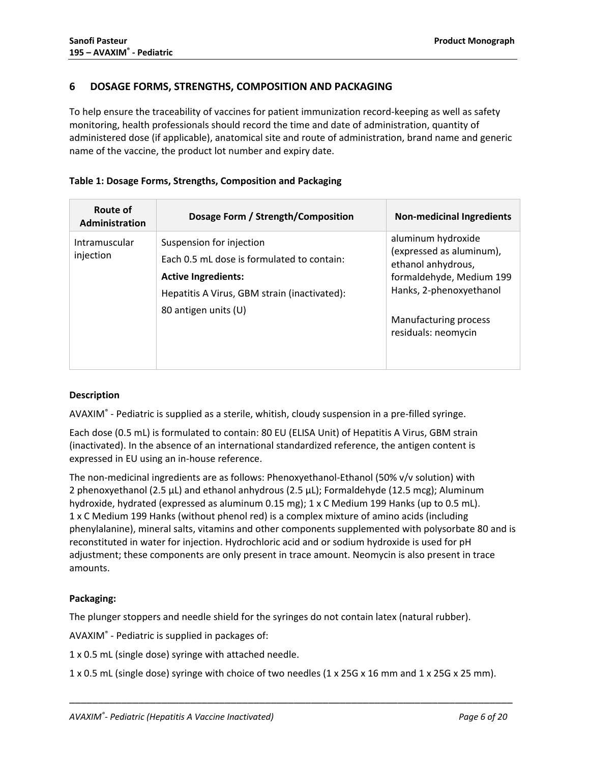## <span id="page-5-0"></span>**6 DOSAGE FORMS, STRENGTHS, COMPOSITION AND PACKAGING**

To help ensure the traceability of vaccines for patient immunization record-keeping as well as safety monitoring, health professionals should record the time and date of administration, quantity of administered dose (if applicable), anatomical site and route of administration, brand name and generic name of the vaccine, the product lot number and expiry date.

## **Table 1: Dosage Forms, Strengths, Composition and Packaging**

| Route of<br>Administration | Dosage Form / Strength/Composition                                                                                                                                           | <b>Non-medicinal Ingredients</b>                                                                                                                                            |
|----------------------------|------------------------------------------------------------------------------------------------------------------------------------------------------------------------------|-----------------------------------------------------------------------------------------------------------------------------------------------------------------------------|
| Intramuscular<br>injection | Suspension for injection<br>Each 0.5 mL dose is formulated to contain:<br><b>Active Ingredients:</b><br>Hepatitis A Virus, GBM strain (inactivated):<br>80 antigen units (U) | aluminum hydroxide<br>(expressed as aluminum),<br>ethanol anhydrous,<br>formaldehyde, Medium 199<br>Hanks, 2-phenoxyethanol<br>Manufacturing process<br>residuals: neomycin |

## **Description**

AVAXIM® - Pediatric is supplied as a sterile, whitish, cloudy suspension in a pre-filled syringe.

Each dose (0.5 mL) is formulated to contain: 80 EU (ELISA Unit) of Hepatitis A Virus, GBM strain (inactivated). In the absence of an international standardized reference, the antigen content is expressed in EU using an in-house reference.

The non-medicinal ingredients are as follows: Phenoxyethanol-Ethanol (50% v/v solution) with 2 phenoxyethanol (2.5 µL) and ethanol anhydrous (2.5 µL); Formaldehyde (12.5 mcg); Aluminum hydroxide, hydrated (expressed as aluminum 0.15 mg); 1 x C Medium 199 Hanks (up to 0.5 mL). 1 x C Medium 199 Hanks (without phenol red) is a complex mixture of amino acids (including phenylalanine), mineral salts, vitamins and other components supplemented with polysorbate 80 and is reconstituted in water for injection. Hydrochloric acid and or sodium hydroxide is used for pH adjustment; these components are only present in trace amount. Neomycin is also present in trace amounts.

## **Packaging:**

The plunger stoppers and needle shield for the syringes do not contain latex (natural rubber).

AVAXIM® - Pediatric is supplied in packages of:

1 x 0.5 mL (single dose) syringe with attached needle.

1 x 0.5 mL (single dose) syringe with choice of two needles (1 x 25G x 16 mm and 1 x 25G x 25 mm).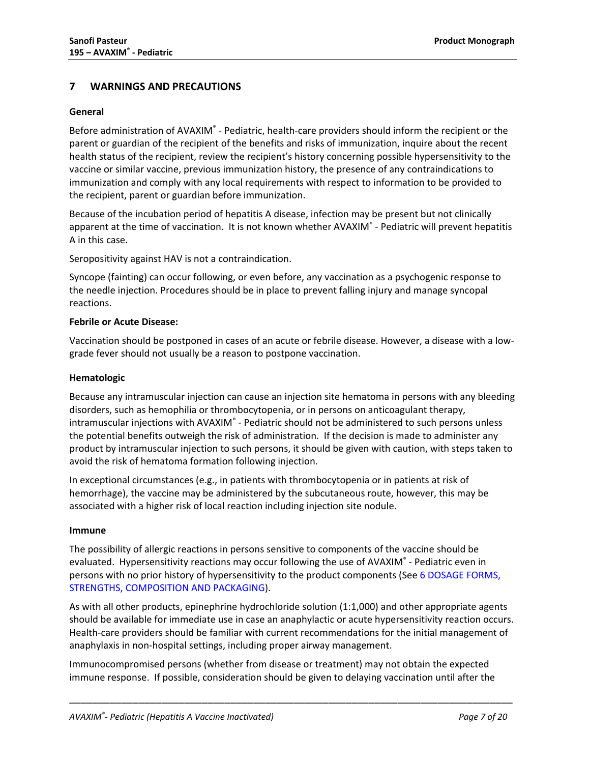## <span id="page-6-0"></span>**7 WARNINGS AND PRECAUTIONS**

#### **General**

Before administration of AVAXIM® - Pediatric, health-care providers should inform the recipient or the parent or guardian of the recipient of the benefits and risks of immunization, inquire about the recent health status of the recipient, review the recipient's history concerning possible hypersensitivity to the vaccine or similar vaccine, previous immunization history, the presence of any contraindications to immunization and comply with any local requirements with respect to information to be provided to the recipient, parent or guardian before immunization.

Because of the incubation period of hepatitis A disease, infection may be present but not clinically apparent at the time of vaccination. It is not known whether AVAXIM® - Pediatric will prevent hepatitis A in this case.

Seropositivity against HAV is not a contraindication.

Syncope (fainting) can occur following, or even before, any vaccination as a psychogenic response to the needle injection. Procedures should be in place to prevent falling injury and manage syncopal reactions.

#### **Febrile or Acute Disease:**

Vaccination should be postponed in cases of an acute or febrile disease. However, a disease with a lowgrade fever should not usually be a reason to postpone vaccination.

#### **Hematologic**

Because any intramuscular injection can cause an injection site hematoma in persons with any bleeding disorders, such as hemophilia or thrombocytopenia, or in persons on anticoagulant therapy, intramuscular injections with AVAXIM<sup>®</sup> - Pediatric should not be administered to such persons unless the potential benefits outweigh the risk of administration. If the decision is made to administer any product by intramuscular injection to such persons, it should be given with caution, with steps taken to avoid the risk of hematoma formation following injection.

In exceptional circumstances (e.g., in patients with thrombocytopenia or in patients at risk of hemorrhage), the vaccine may be administered by the subcutaneous route, however, this may be associated with a higher risk of local reaction including injection site nodule.

#### **Immune**

The possibility of allergic reactions in persons sensitive to components of the vaccine should be evaluated. Hypersensitivity reactions may occur following the use of AVAXIM® - Pediatric even in persons with no prior history of hypersensitivity to the product components (See 6 [DOSAGE FORMS,](#page-5-0)  [STRENGTHS, COMPOSITION AND PACKAGING\)](#page-5-0).

As with all other products, epinephrine hydrochloride solution (1:1,000) and other appropriate agents should be available for immediate use in case an anaphylactic or acute hypersensitivity reaction occurs. Health-care providers should be familiar with current recommendations for the initial management of anaphylaxis in non-hospital settings, including proper airway management.

Immunocompromised persons (whether from disease or treatment) may not obtain the expected immune response. If possible, consideration should be given to delaying vaccination until after the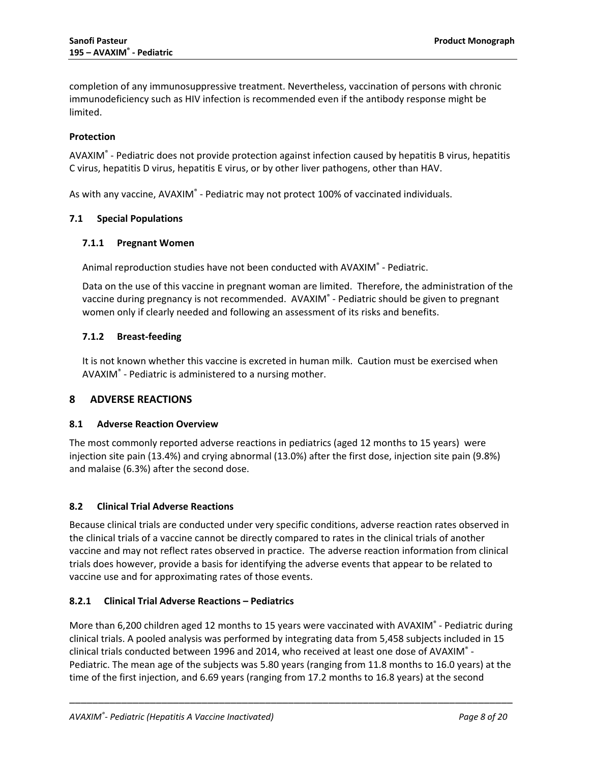completion of any immunosuppressive treatment. Nevertheless, vaccination of persons with chronic immunodeficiency such as HIV infection is recommended even if the antibody response might be limited.

### **Protection**

AVAXIM® - Pediatric does not provide protection against infection caused by hepatitis B virus, hepatitis C virus, hepatitis D virus, hepatitis E virus, or by other liver pathogens, other than HAV.

<span id="page-7-0"></span>As with any vaccine, AVAXIM<sup>®</sup> - Pediatric may not protect 100% of vaccinated individuals.

#### **7.1 Special Populations**

#### **7.1.1 Pregnant Women**

Animal reproduction studies have not been conducted with AVAXIM® - Pediatric.

Data on the use of this vaccine in pregnant woman are limited. Therefore, the administration of the vaccine during pregnancy is not recommended. AVAXIM® - Pediatric should be given to pregnant women only if clearly needed and following an assessment of its risks and benefits.

## **7.1.2 Breast-feeding**

It is not known whether this vaccine is excreted in human milk. Caution must be exercised when AVAXIM® - Pediatric is administered to a nursing mother.

## <span id="page-7-1"></span>**8 ADVERSE REACTIONS**

#### <span id="page-7-2"></span>**8.1 Adverse Reaction Overview**

The most commonly reported adverse reactions in pediatrics (aged 12 months to 15 years) were injection site pain (13.4%) and crying abnormal (13.0%) after the first dose, injection site pain (9.8%) and malaise (6.3%) after the second dose.

#### <span id="page-7-3"></span>**8.2 Clinical Trial Adverse Reactions**

Because clinical trials are conducted under very specific conditions, adverse reaction rates observed in the clinical trials of a vaccine cannot be directly compared to rates in the clinical trials of another vaccine and may not reflect rates observed in practice. The adverse reaction information from clinical trials does however, provide a basis for identifying the adverse events that appear to be related to vaccine use and for approximating rates of those events.

## **8.2.1 Clinical Trial Adverse Reactions – Pediatrics**

More than 6,200 children aged 12 months to 15 years were vaccinated with AVAXIM® - Pediatric during clinical trials. A pooled analysis was performed by integrating data from 5,458 subjects included in 15 clinical trials conducted between 1996 and 2014, who received at least one dose of AVAXIM® - Pediatric. The mean age of the subjects was 5.80 years (ranging from 11.8 months to 16.0 years) at the time of the first injection, and 6.69 years (ranging from 17.2 months to 16.8 years) at the second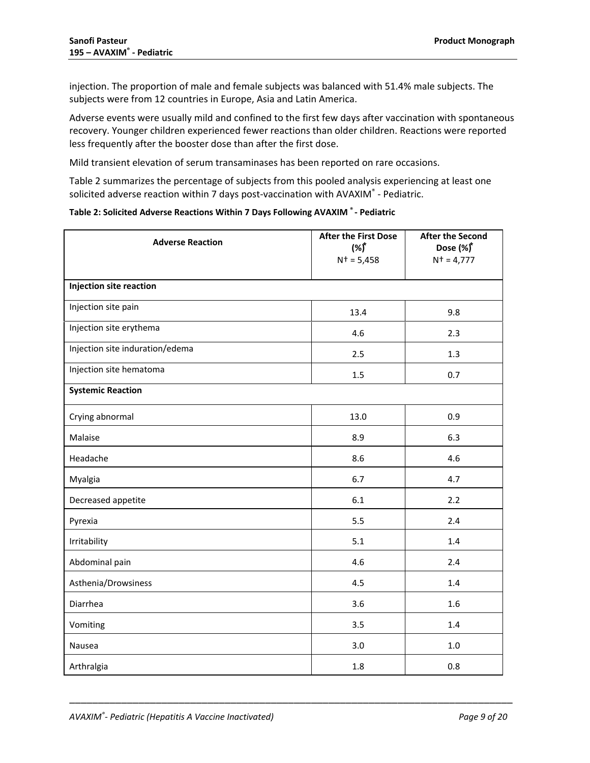injection. The proportion of male and female subjects was balanced with 51.4% male subjects. The subjects were from 12 countries in Europe, Asia and Latin America.

Adverse events were usually mild and confined to the first few days after vaccination with spontaneous recovery. Younger children experienced fewer reactions than older children. Reactions were reported less frequently after the booster dose than after the first dose.

Mild transient elevation of serum transaminases has been reported on rare occasions.

[Table 2](#page-8-0) summarizes the percentage of subjects from this pooled analysis experiencing at least one solicited adverse reaction within 7 days post-vaccination with AVAXIM® - Pediatric.

<span id="page-8-0"></span>

| Table 2: Solicited Adverse Reactions Within 7 Days Following AVAXIM ®- Pediatric |  |  |  |
|----------------------------------------------------------------------------------|--|--|--|
|----------------------------------------------------------------------------------|--|--|--|

| <b>Adverse Reaction</b>         | <b>After the First Dose</b><br>$(%^{\dagger})$<br>$N^+=5,458$ | <b>After the Second</b><br>Dose (%)*<br>$N^+=4,777$ |
|---------------------------------|---------------------------------------------------------------|-----------------------------------------------------|
| <b>Injection site reaction</b>  |                                                               |                                                     |
| Injection site pain             | 13.4                                                          | 9.8                                                 |
| Injection site erythema         | 4.6                                                           | 2.3                                                 |
| Injection site induration/edema | 2.5                                                           | 1.3                                                 |
| Injection site hematoma         | 1.5                                                           | 0.7                                                 |
| <b>Systemic Reaction</b>        |                                                               |                                                     |
| Crying abnormal                 | 13.0                                                          | 0.9                                                 |
| Malaise                         | 8.9                                                           | 6.3                                                 |
| Headache                        | 8.6                                                           | 4.6                                                 |
| Myalgia                         | 6.7                                                           | 4.7                                                 |
| Decreased appetite              | 6.1                                                           | 2.2                                                 |
| Pyrexia                         | 5.5                                                           | 2.4                                                 |
| Irritability                    | 5.1                                                           | 1.4                                                 |
| Abdominal pain                  | 4.6                                                           | 2.4                                                 |
| Asthenia/Drowsiness             | 4.5                                                           | 1.4                                                 |
| Diarrhea                        | 3.6                                                           | 1.6                                                 |
| Vomiting                        | 3.5                                                           | 1.4                                                 |
| Nausea                          | 3.0                                                           | $1.0\,$                                             |
| Arthralgia                      | 1.8                                                           | 0.8                                                 |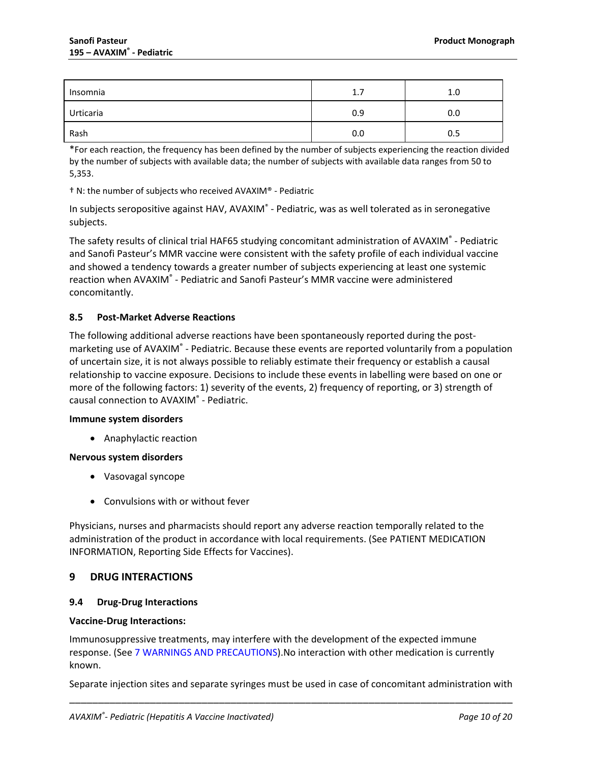| Insomnia  | 1.7 | 1.0 |
|-----------|-----|-----|
| Urticaria | 0.9 | 0.0 |
| Rash      | 0.0 | 0.5 |

\*For each reaction, the frequency has been defined by the number of subjects experiencing the reaction divided by the number of subjects with available data; the number of subjects with available data ranges from 50 to 5,353.

† N: the number of subjects who received AVAXIM® - Pediatric

In subjects seropositive against HAV, AVAXIM® - Pediatric, was as well tolerated as in seronegative subjects.

The safety results of clinical trial HAF65 studying concomitant administration of AVAXIM® - Pediatric and Sanofi Pasteur's MMR vaccine were consistent with the safety profile of each individual vaccine and showed a tendency towards a greater number of subjects experiencing at least one systemic reaction when AVAXIM® - Pediatric and Sanofi Pasteur's MMR vaccine were administered concomitantly.

## <span id="page-9-0"></span>**8.5 Post-Market Adverse Reactions**

The following additional adverse reactions have been spontaneously reported during the postmarketing use of AVAXIM<sup>®</sup> - Pediatric. Because these events are reported voluntarily from a population of uncertain size, it is not always possible to reliably estimate their frequency or establish a causal relationship to vaccine exposure. Decisions to include these events in labelling were based on one or more of the following factors: 1) severity of the events, 2) frequency of reporting, or 3) strength of causal connection to AVAXIM® - Pediatric.

#### **Immune system disorders**

• Anaphylactic reaction

#### **Nervous system disorders**

- Vasovagal syncope
- Convulsions with or without fever

Physicians, nurses and pharmacists should report any adverse reaction temporally related to the administration of the product in accordance with local requirements. (See PATIENT MEDICATION INFORMATION, Reporting Side Effects for Vaccines).

## <span id="page-9-1"></span>**9 DRUG INTERACTIONS**

#### <span id="page-9-2"></span>**9.4 Drug-Drug Interactions**

#### **Vaccine-Drug Interactions:**

Immunosuppressive treatments, may interfere with the development of the expected immune response. (See 7 [WARNINGS AND PRECAUTIONS\)](#page-6-0).No interaction with other medication is currently known.

\_\_\_\_\_\_\_\_\_\_\_\_\_\_\_\_\_\_\_\_\_\_\_\_\_\_\_\_\_\_\_\_\_\_\_\_\_\_\_\_\_\_\_\_\_\_\_\_\_\_\_\_\_\_\_\_\_\_\_\_\_\_\_\_\_\_\_\_\_\_\_\_\_\_\_\_\_ Separate injection sites and separate syringes must be used in case of concomitant administration with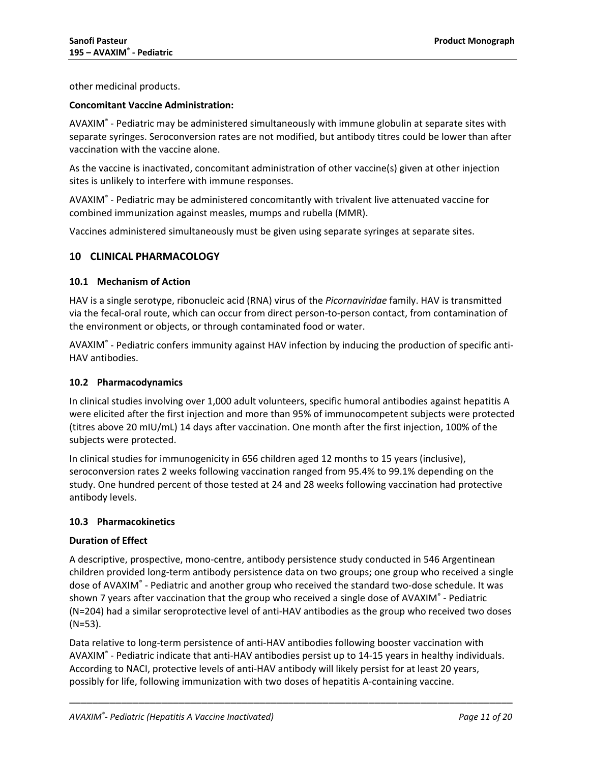other medicinal products.

#### **Concomitant Vaccine Administration:**

AVAXIM® - Pediatric may be administered simultaneously with immune globulin at separate sites with separate syringes. Seroconversion rates are not modified, but antibody titres could be lower than after vaccination with the vaccine alone.

As the vaccine is inactivated, concomitant administration of other vaccine(s) given at other injection sites is unlikely to interfere with immune responses.

AVAXIM® - Pediatric may be administered concomitantly with trivalent live attenuated vaccine for combined immunization against measles, mumps and rubella (MMR).

<span id="page-10-0"></span>Vaccines administered simultaneously must be given using separate syringes at separate sites.

## **10 CLINICAL PHARMACOLOGY**

#### <span id="page-10-1"></span>**10.1 Mechanism of Action**

HAV is a single serotype, ribonucleic acid (RNA) virus of the *Picornaviridae* family. HAV is transmitted via the fecal-oral route, which can occur from direct person-to-person contact, from contamination of the environment or objects, or through contaminated food or water.

AVAXIM® - Pediatric confers immunity against HAV infection by inducing the production of specific anti-HAV antibodies.

#### <span id="page-10-2"></span>**10.2 Pharmacodynamics**

In clinical studies involving over 1,000 adult volunteers, specific humoral antibodies against hepatitis A were elicited after the first injection and more than 95% of immunocompetent subjects were protected (titres above 20 mIU/mL) 14 days after vaccination. One month after the first injection, 100% of the subjects were protected.

In clinical studies for immunogenicity in 656 children aged 12 months to 15 years (inclusive), seroconversion rates 2 weeks following vaccination ranged from 95.4% to 99.1% depending on the study. One hundred percent of those tested at 24 and 28 weeks following vaccination had protective antibody levels.

#### <span id="page-10-3"></span>**10.3 Pharmacokinetics**

#### **Duration of Effect**

A descriptive, prospective, mono-centre, antibody persistence study conducted in 546 Argentinean children provided long-term antibody persistence data on two groups; one group who received a single dose of AVAXIM® - Pediatric and another group who received the standard two-dose schedule. It was shown 7 years after vaccination that the group who received a single dose of AVAXIM® - Pediatric (N=204) had a similar seroprotective level of anti-HAV antibodies as the group who received two doses (N=53).

Data relative to long-term persistence of anti-HAV antibodies following booster vaccination with AVAXIM® - Pediatric indicate that anti-HAV antibodies persist up to 14-15 years in healthy individuals. According to NACI, protective levels of anti-HAV antibody will likely persist for at least 20 years, possibly for life, following immunization with two doses of hepatitis A-containing vaccine.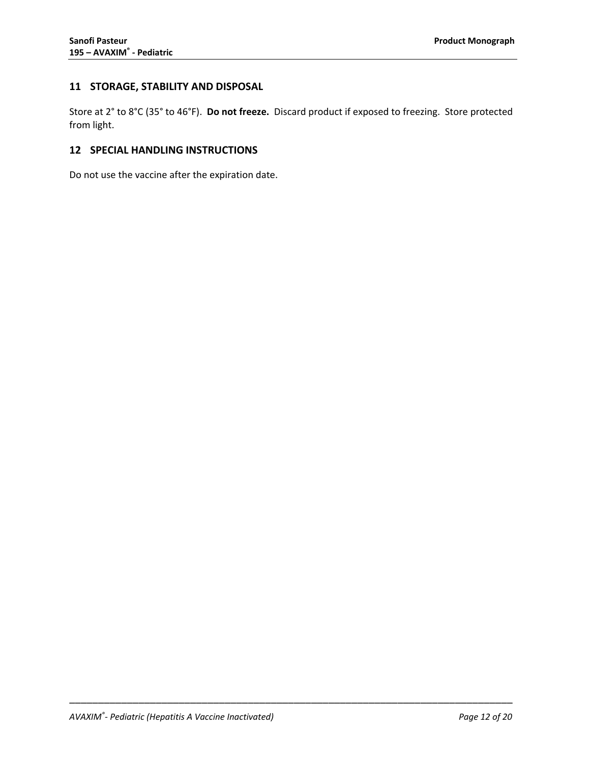## <span id="page-11-0"></span>**11 STORAGE, STABILITY AND DISPOSAL**

Store at 2° to 8°C (35° to 46°F). **Do not freeze.** Discard product if exposed to freezing. Store protected from light.

\_\_\_\_\_\_\_\_\_\_\_\_\_\_\_\_\_\_\_\_\_\_\_\_\_\_\_\_\_\_\_\_\_\_\_\_\_\_\_\_\_\_\_\_\_\_\_\_\_\_\_\_\_\_\_\_\_\_\_\_\_\_\_\_\_\_\_\_\_\_\_\_\_\_\_\_\_

## <span id="page-11-1"></span>**12 SPECIAL HANDLING INSTRUCTIONS**

Do not use the vaccine after the expiration date.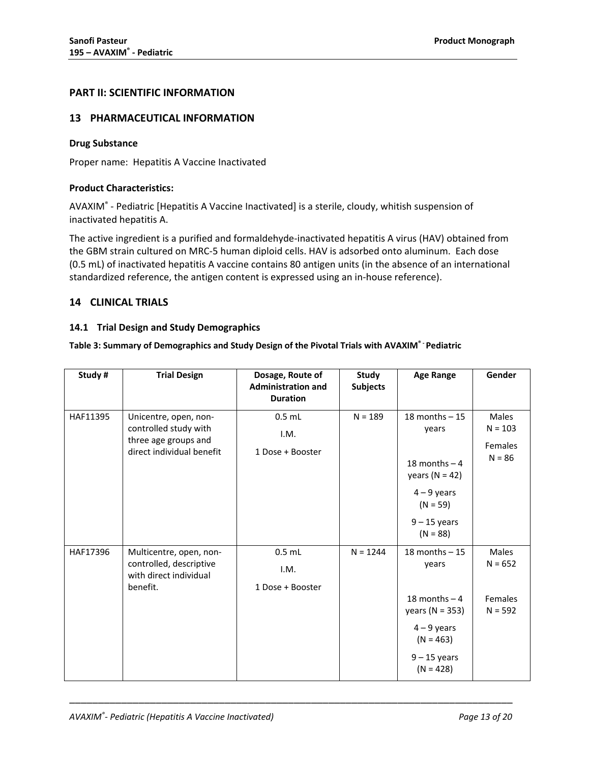## <span id="page-12-0"></span>**PART II: SCIENTIFIC INFORMATION**

## <span id="page-12-1"></span>**13 PHARMACEUTICAL INFORMATION**

#### **Drug Substance**

Proper name: Hepatitis A Vaccine Inactivated

#### **Product Characteristics:**

AVAXIM® - Pediatric [Hepatitis A Vaccine Inactivated] is a sterile, cloudy, whitish suspension of inactivated hepatitis A.

The active ingredient is a purified and formaldehyde-inactivated hepatitis A virus (HAV) obtained from the GBM strain cultured on MRC-5 human diploid cells. HAV is adsorbed onto aluminum. Each dose (0.5 mL) of inactivated hepatitis A vaccine contains 80 antigen units (in the absence of an international standardized reference, the antigen content is expressed using an in-house reference).

## <span id="page-12-2"></span>**14 CLINICAL TRIALS**

#### <span id="page-12-3"></span>**14.1 Trial Design and Study Demographics**

### **Table 3: Summary of Demographics and Study Design of the Pivotal Trials with AVAXIM® - Pediatric**

| Study#   | <b>Trial Design</b>                                                                                 | Dosage, Route of<br><b>Administration and</b><br><b>Duration</b> | Study<br><b>Subjects</b> | <b>Age Range</b>                                                                                                                     | Gender                                                  |
|----------|-----------------------------------------------------------------------------------------------------|------------------------------------------------------------------|--------------------------|--------------------------------------------------------------------------------------------------------------------------------------|---------------------------------------------------------|
| HAF11395 | Unicentre, open, non-<br>controlled study with<br>three age groups and<br>direct individual benefit | $0.5$ mL<br>I.M.<br>1 Dose + Booster                             | $N = 189$                | 18 months $-15$<br>years<br>18 months $-4$<br>years ( $N = 42$ )<br>$4 - 9$ years<br>$(N = 59)$<br>$9 - 15$ years<br>$(N = 88)$      | <b>Males</b><br>$N = 103$<br><b>Females</b><br>$N = 86$ |
| HAF17396 | Multicentre, open, non-<br>controlled, descriptive<br>with direct individual<br>benefit.            | $0.5$ mL<br>I.M.<br>1 Dose + Booster                             | $N = 1244$               | $18$ months $-15$<br>years<br>18 months $-4$<br>years ( $N = 353$ )<br>$4 - 9$ years<br>$(N = 463)$<br>$9 - 15$ years<br>$(N = 428)$ | <b>Males</b><br>$N = 652$<br>Females<br>$N = 592$       |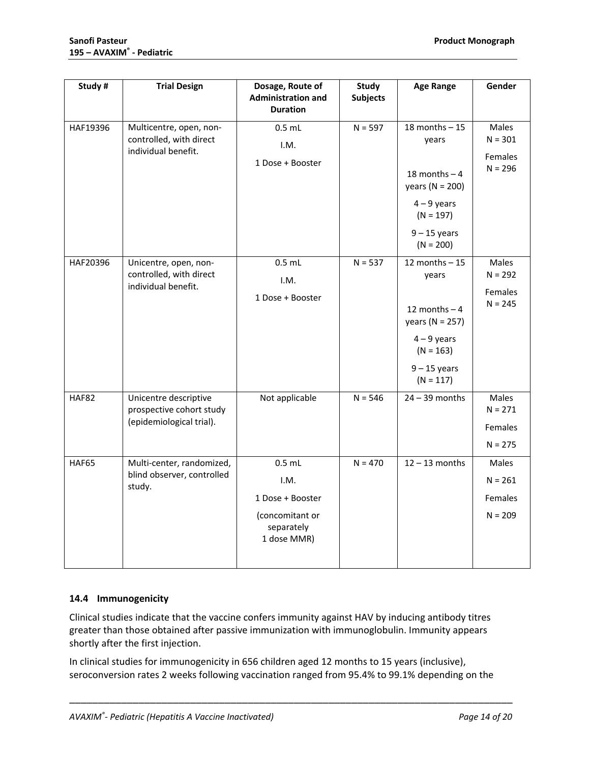| Study #  | <b>Trial Design</b>                                                           | Dosage, Route of<br><b>Administration and</b><br><b>Duration</b>                     | <b>Study</b><br><b>Subjects</b> | <b>Age Range</b>                                                                                                                     | Gender                                     |
|----------|-------------------------------------------------------------------------------|--------------------------------------------------------------------------------------|---------------------------------|--------------------------------------------------------------------------------------------------------------------------------------|--------------------------------------------|
| HAF19396 | Multicentre, open, non-<br>controlled, with direct<br>individual benefit.     | $0.5$ mL<br>I.M.<br>1 Dose + Booster                                                 | $N = 597$                       | $18$ months $-15$<br>years<br>18 months $-4$<br>years ( $N = 200$ )<br>$4 - 9$ years<br>$(N = 197)$<br>$9 - 15$ years<br>$(N = 200)$ | Males<br>$N = 301$<br>Females<br>$N = 296$ |
| HAF20396 | Unicentre, open, non-<br>controlled, with direct<br>individual benefit.       | $0.5$ mL<br>I.M.<br>1 Dose + Booster                                                 | $N = 537$                       | 12 months $-15$<br>years<br>12 months $-4$<br>years ( $N = 257$ )<br>$4 - 9$ years<br>$(N = 163)$<br>$9 - 15$ years<br>$(N = 117)$   | Males<br>$N = 292$<br>Females<br>$N = 245$ |
| HAF82    | Unicentre descriptive<br>prospective cohort study<br>(epidemiological trial). | Not applicable                                                                       | $N = 546$                       | $24 - 39$ months                                                                                                                     | Males<br>$N = 271$<br>Females<br>$N = 275$ |
| HAF65    | Multi-center, randomized,<br>blind observer, controlled<br>study.             | $0.5$ mL<br>I.M.<br>1 Dose + Booster<br>(concomitant or<br>separately<br>1 dose MMR) | $N = 470$                       | $12 - 13$ months                                                                                                                     | Males<br>$N = 261$<br>Females<br>$N = 209$ |

## <span id="page-13-0"></span>**14.4 Immunogenicity**

Clinical studies indicate that the vaccine confers immunity against HAV by inducing antibody titres greater than those obtained after passive immunization with immunoglobulin. Immunity appears shortly after the first injection.

In clinical studies for immunogenicity in 656 children aged 12 months to 15 years (inclusive), seroconversion rates 2 weeks following vaccination ranged from 95.4% to 99.1% depending on the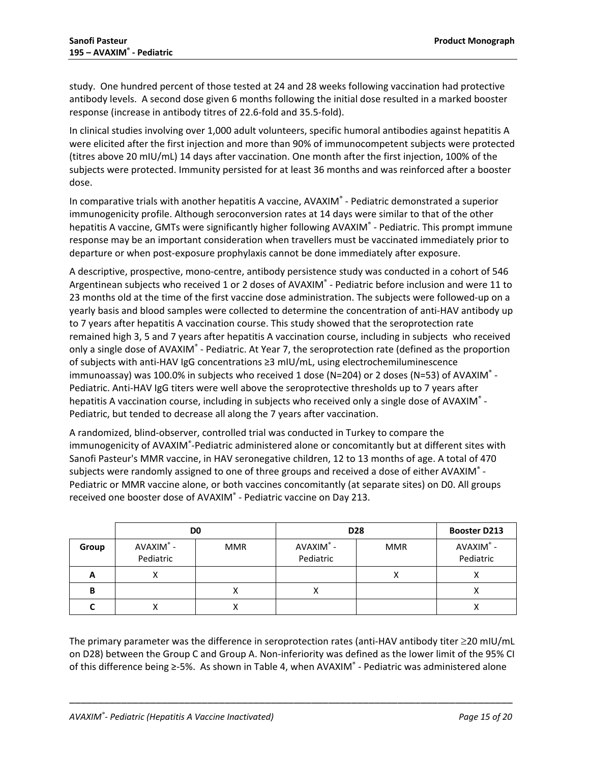study. One hundred percent of those tested at 24 and 28 weeks following vaccination had protective antibody levels. A second dose given 6 months following the initial dose resulted in a marked booster response (increase in antibody titres of 22.6-fold and 35.5-fold).

In clinical studies involving over 1,000 adult volunteers, specific humoral antibodies against hepatitis A were elicited after the first injection and more than 90% of immunocompetent subjects were protected (titres above 20 mIU/mL) 14 days after vaccination. One month after the first injection, 100% of the subjects were protected. Immunity persisted for at least 36 months and was reinforced after a booster dose.

In comparative trials with another hepatitis A vaccine, AVAXIM® - Pediatric demonstrated a superior immunogenicity profile. Although seroconversion rates at 14 days were similar to that of the other hepatitis A vaccine, GMTs were significantly higher following AVAXIM® - Pediatric. This prompt immune response may be an important consideration when travellers must be vaccinated immediately prior to departure or when post-exposure prophylaxis cannot be done immediately after exposure.

A descriptive, prospective, mono-centre, antibody persistence study was conducted in a cohort of 546 Argentinean subjects who received 1 or 2 doses of AVAXIM<sup>®</sup> - Pediatric before inclusion and were 11 to 23 months old at the time of the first vaccine dose administration. The subjects were followed-up on a yearly basis and blood samples were collected to determine the concentration of anti-HAV antibody up to 7 years after hepatitis A vaccination course. This study showed that the seroprotection rate remained high 3, 5 and 7 years after hepatitis A vaccination course, including in subjects who received only a single dose of AVAXIM<sup>®</sup> - Pediatric. At Year 7, the seroprotection rate (defined as the proportion of subjects with anti-HAV IgG concentrations ≥3 mIU/mL, using electrochemiluminescence immunoassay) was 100.0% in subjects who received 1 dose (N=204) or 2 doses (N=53) of AVAXIM® - Pediatric. Anti-HAV IgG titers were well above the seroprotective thresholds up to 7 years after hepatitis A vaccination course, including in subjects who received only a single dose of AVAXIM<sup>®</sup> -Pediatric, but tended to decrease all along the 7 years after vaccination.

A randomized, blind-observer, controlled trial was conducted in Turkey to compare the immunogenicity of AVAXIM®-Pediatric administered alone or concomitantly but at different sites with Sanofi Pasteur's MMR vaccine, in HAV seronegative children, 12 to 13 months of age. A total of 470 subjects were randomly assigned to one of three groups and received a dose of either AVAXIM<sup>®</sup> -Pediatric or MMR vaccine alone, or both vaccines concomitantly (at separate sites) on D0. All groups received one booster dose of AVAXIM® - Pediatric vaccine on Day 213.

|       |                        | D <sub>0</sub> | <b>D28</b>            | <b>Booster D213</b> |                        |
|-------|------------------------|----------------|-----------------------|---------------------|------------------------|
| Group | AVAXIM® -<br>Pediatric | <b>MMR</b>     | AVAXIM®-<br>Pediatric | <b>MMR</b>          | AVAXIM® -<br>Pediatric |
| A     | ∧                      |                |                       | ∧                   | ∧                      |
| B     |                        | Λ              |                       |                     | ∧                      |
|       |                        |                |                       |                     |                        |

The primary parameter was the difference in seroprotection rates (anti-HAV antibody titer ≥20 mIU/mL on D28) between the Group C and Group A. Non-inferiority was defined as the lower limit of the 95% CI of this difference being ≥-5%. As shown in [Table 4,](#page-15-2) when AVAXIM® - Pediatric was administered alone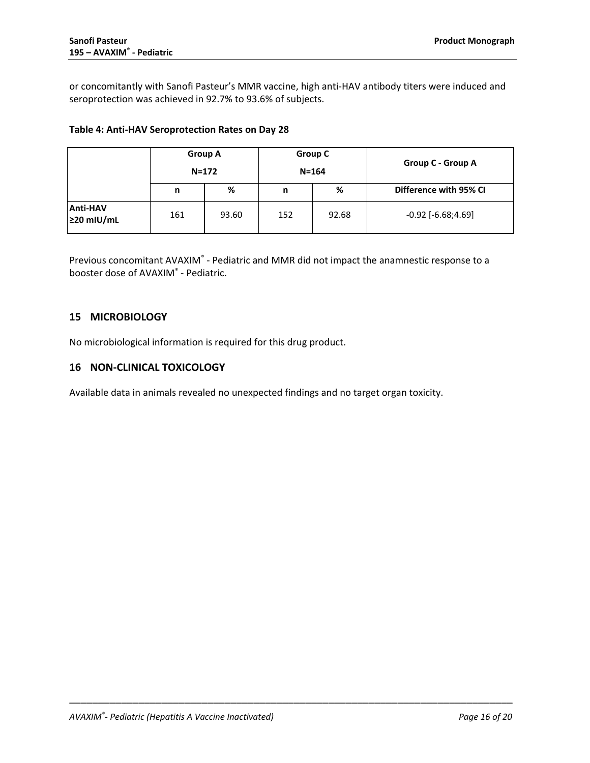or concomitantly with Sanofi Pasteur's MMR vaccine, high anti-HAV antibody titers were induced and seroprotection was achieved in 92.7% to 93.6% of subjects.

#### <span id="page-15-2"></span>**Table 4: Anti-HAV Seroprotection Rates on Day 28**

|                                     |     | <b>Group A</b><br>$N = 172$ |     | Group C<br>$N = 164$ | Group C - Group A      |
|-------------------------------------|-----|-----------------------------|-----|----------------------|------------------------|
|                                     | n   | %                           | n   | %                    | Difference with 95% CI |
| <b>Anti-HAV</b><br>$\geq$ 20 mIU/mL | 161 | 93.60                       | 152 | 92.68                | $-0.92$ $[-6.68;4.69]$ |

Previous concomitant AVAXIM® - Pediatric and MMR did not impact the anamnestic response to a booster dose of AVAXIM® - Pediatric.

## <span id="page-15-0"></span>**15 MICROBIOLOGY**

No microbiological information is required for this drug product.

## <span id="page-15-1"></span>**16 NON-CLINICAL TOXICOLOGY**

Available data in animals revealed no unexpected findings and no target organ toxicity.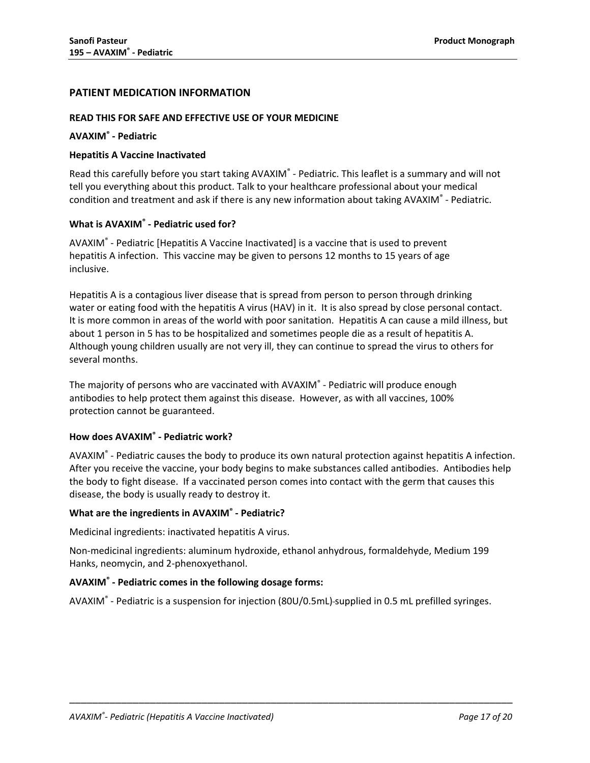## <span id="page-16-0"></span>**PATIENT MEDICATION INFORMATION**

#### **READ THIS FOR SAFE AND EFFECTIVE USE OF YOUR MEDICINE**

#### **AVAXIM® - Pediatric**

#### **Hepatitis A Vaccine Inactivated**

Read this carefully before you start taking AVAXIM<sup>®</sup> - Pediatric. This leaflet is a summary and will not tell you everything about this product. Talk to your healthcare professional about your medical condition and treatment and ask if there is any new information about taking AVAXIM® - Pediatric.

#### **What is AVAXIM® - Pediatric used for?**

AVAXIM® - Pediatric [Hepatitis A Vaccine Inactivated] is a vaccine that is used to prevent hepatitis A infection. This vaccine may be given to persons 12 months to 15 years of age inclusive.

Hepatitis A is a contagious liver disease that is spread from person to person through drinking water or eating food with the hepatitis A virus (HAV) in it. It is also spread by close personal contact. It is more common in areas of the world with poor sanitation. Hepatitis A can cause a mild illness, but about 1 person in 5 has to be hospitalized and sometimes people die as a result of hepatitis A. Although young children usually are not very ill, they can continue to spread the virus to others for several months.

The majority of persons who are vaccinated with AVAXIM® - Pediatric will produce enough antibodies to help protect them against this disease. However, as with all vaccines, 100% protection cannot be guaranteed.

## **How does AVAXIM® - Pediatric work?**

AVAXIM® - Pediatric causes the body to produce its own natural protection against hepatitis A infection. After you receive the vaccine, your body begins to make substances called antibodies. Antibodies help the body to fight disease. If a vaccinated person comes into contact with the germ that causes this disease, the body is usually ready to destroy it.

#### **What are the ingredients in AVAXIM® - Pediatric?**

Medicinal ingredients: inactivated hepatitis A virus.

Non-medicinal ingredients: aluminum hydroxide, ethanol anhydrous, formaldehyde, Medium 199 Hanks, neomycin, and 2-phenoxyethanol.

## **AVAXIM® - Pediatric comes in the following dosage forms:**

AVAXIM® - Pediatric is a suspension for injection (80U/0.5mL) supplied in 0.5 mL prefilled syringes.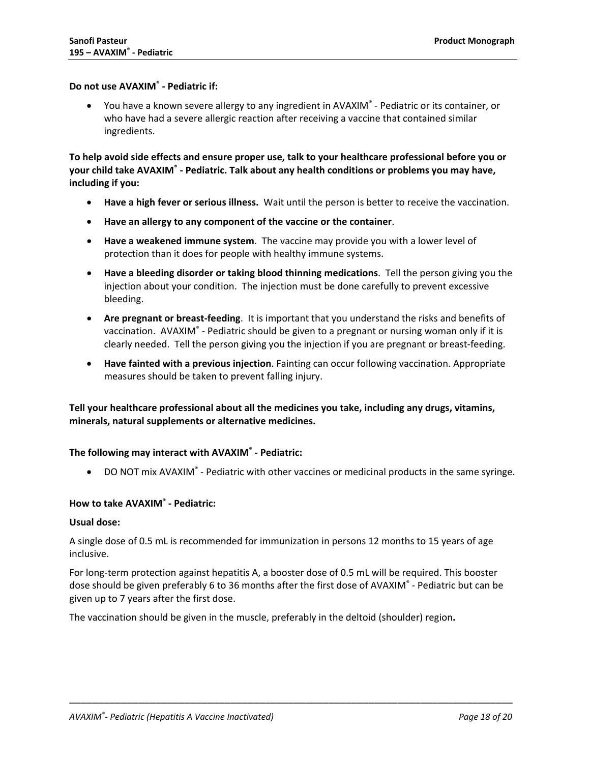#### **Do not use AVAXIM® - Pediatric if:**

• You have a known severe allergy to any ingredient in AVAXIM® - Pediatric or its container, or who have had a severe allergic reaction after receiving a vaccine that contained similar ingredients.

**To help avoid side effects and ensure proper use, talk to your healthcare professional before you or your child take AVAXIM® - Pediatric. Talk about any health conditions or problems you may have, including if you:**

- **Have a high fever or serious illness.** Wait until the person is better to receive the vaccination.
- **Have an allergy to any component of the vaccine or the container**.
- **Have a weakened immune system**. The vaccine may provide you with a lower level of protection than it does for people with healthy immune systems.
- **Have a bleeding disorder or taking blood thinning medications**. Tell the person giving you the injection about your condition. The injection must be done carefully to prevent excessive bleeding.
- **Are pregnant or breast-feeding**. It is important that you understand the risks and benefits of vaccination. AVAXIM® - Pediatric should be given to a pregnant or nursing woman only if it is clearly needed. Tell the person giving you the injection if you are pregnant or breast-feeding.
- **Have fainted with a previous injection**. Fainting can occur following vaccination. Appropriate measures should be taken to prevent falling injury.

## **Tell your healthcare professional about all the medicines you take, including any drugs, vitamins, minerals, natural supplements or alternative medicines.**

#### **The following may interact with AVAXIM® - Pediatric:**

• DO NOT mix AVAXIM<sup>®</sup> - Pediatric with other vaccines or medicinal products in the same syringe.

## **How to take AVAXIM® - Pediatric:**

#### **Usual dose:**

A single dose of 0.5 mL is recommended for immunization in persons 12 months to 15 years of age inclusive.

For long-term protection against hepatitis A, a booster dose of 0.5 mL will be required. This booster dose should be given preferably 6 to 36 months after the first dose of AVAXIM® - Pediatric but can be given up to 7 years after the first dose.

\_\_\_\_\_\_\_\_\_\_\_\_\_\_\_\_\_\_\_\_\_\_\_\_\_\_\_\_\_\_\_\_\_\_\_\_\_\_\_\_\_\_\_\_\_\_\_\_\_\_\_\_\_\_\_\_\_\_\_\_\_\_\_\_\_\_\_\_\_\_\_\_\_\_\_\_\_

The vaccination should be given in the muscle, preferably in the deltoid (shoulder) region**.**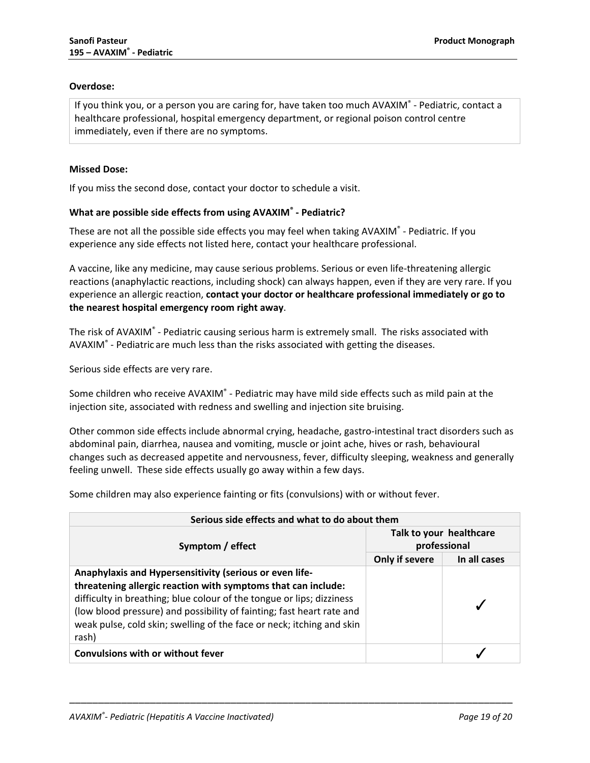## **Overdose:**

If you think you, or a person you are caring for, have taken too much AVAXIM® - Pediatric, contact a healthcare professional, hospital emergency department, or regional poison control centre immediately, even if there are no symptoms.

#### **Missed Dose:**

If you miss the second dose, contact your doctor to schedule a visit.

### **What are possible side effects from using AVAXIM® - Pediatric?**

These are not all the possible side effects you may feel when taking AVAXIM® - Pediatric. If you experience any side effects not listed here, contact your healthcare professional.

A vaccine, like any medicine, may cause serious problems. Serious or even life-threatening allergic reactions (anaphylactic reactions, including shock) can always happen, even if they are very rare. If you experience an allergic reaction, **contact your doctor or healthcare professional immediately or go to the nearest hospital emergency room right away**.

The risk of AVAXIM® - Pediatric causing serious harm is extremely small. The risks associated with AVAXIM $\degree$  - Pediatric are much less than the risks associated with getting the diseases.

Serious side effects are very rare.

Some children who receive AVAXIM<sup>®</sup> - Pediatric may have mild side effects such as mild pain at the injection site, associated with redness and swelling and injection site bruising.

Other common side effects include abnormal crying, headache, gastro-intestinal tract disorders such as abdominal pain, diarrhea, nausea and vomiting, muscle or joint ache, hives or rash, behavioural changes such as decreased appetite and nervousness, fever, difficulty sleeping, weakness and generally feeling unwell. These side effects usually go away within a few days.

Some children may also experience fainting or fits (convulsions) with or without fever.

| Serious side effects and what to do about them                                                                                                                                                                                                                                                                                                               |                                         |              |  |  |
|--------------------------------------------------------------------------------------------------------------------------------------------------------------------------------------------------------------------------------------------------------------------------------------------------------------------------------------------------------------|-----------------------------------------|--------------|--|--|
| Symptom / effect                                                                                                                                                                                                                                                                                                                                             | Talk to your healthcare<br>professional |              |  |  |
|                                                                                                                                                                                                                                                                                                                                                              | Only if severe                          | In all cases |  |  |
| Anaphylaxis and Hypersensitivity (serious or even life-<br>threatening allergic reaction with symptoms that can include:<br>difficulty in breathing; blue colour of the tongue or lips; dizziness<br>(low blood pressure) and possibility of fainting; fast heart rate and<br>weak pulse, cold skin; swelling of the face or neck; itching and skin<br>rash) |                                         |              |  |  |
| <b>Convulsions with or without fever</b>                                                                                                                                                                                                                                                                                                                     |                                         |              |  |  |